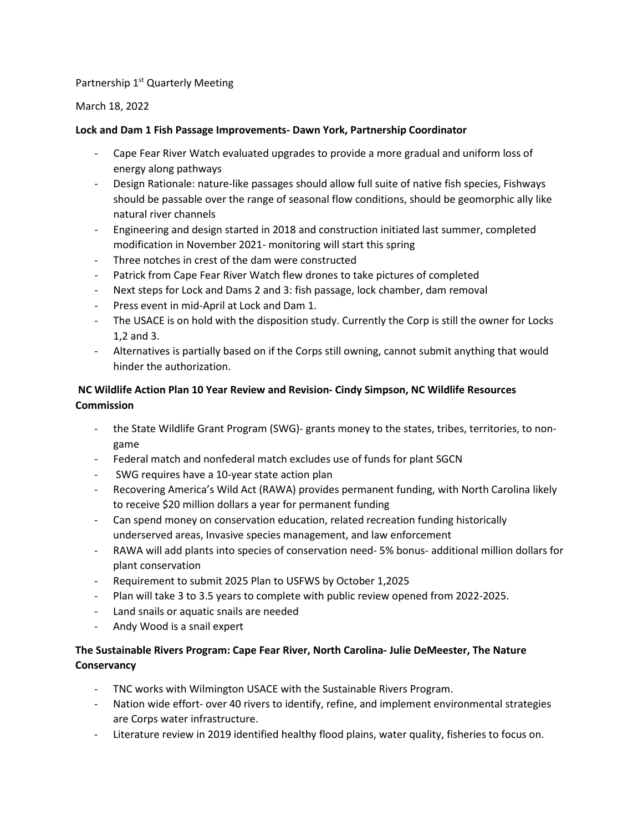## Partnership 1<sup>st</sup> Quarterly Meeting

## March 18, 2022

## **Lock and Dam 1 Fish Passage Improvements- Dawn York, Partnership Coordinator**

- Cape Fear River Watch evaluated upgrades to provide a more gradual and uniform loss of energy along pathways
- Design Rationale: nature-like passages should allow full suite of native fish species, Fishways should be passable over the range of seasonal flow conditions, should be geomorphic ally like natural river channels
- Engineering and design started in 2018 and construction initiated last summer, completed modification in November 2021- monitoring will start this spring
- Three notches in crest of the dam were constructed
- Patrick from Cape Fear River Watch flew drones to take pictures of completed
- Next steps for Lock and Dams 2 and 3: fish passage, lock chamber, dam removal
- Press event in mid-April at Lock and Dam 1.
- The USACE is on hold with the disposition study. Currently the Corp is still the owner for Locks 1,2 and 3.
- Alternatives is partially based on if the Corps still owning, cannot submit anything that would hinder the authorization.

# **NC Wildlife Action Plan 10 Year Review and Revision- Cindy Simpson, NC Wildlife Resources Commission**

- the State Wildlife Grant Program (SWG)- grants money to the states, tribes, territories, to nongame
- Federal match and nonfederal match excludes use of funds for plant SGCN
- SWG requires have a 10-year state action plan
- Recovering America's Wild Act (RAWA) provides permanent funding, with North Carolina likely to receive \$20 million dollars a year for permanent funding
- Can spend money on conservation education, related recreation funding historically underserved areas, Invasive species management, and law enforcement
- RAWA will add plants into species of conservation need- 5% bonus- additional million dollars for plant conservation
- Requirement to submit 2025 Plan to USFWS by October 1,2025
- Plan will take 3 to 3.5 years to complete with public review opened from 2022-2025.
- Land snails or aquatic snails are needed
- Andy Wood is a snail expert

# **The Sustainable Rivers Program: Cape Fear River, North Carolina- Julie DeMeester, The Nature Conservancy**

- TNC works with Wilmington USACE with the Sustainable Rivers Program.
- Nation wide effort- over 40 rivers to identify, refine, and implement environmental strategies are Corps water infrastructure.
- Literature review in 2019 identified healthy flood plains, water quality, fisheries to focus on.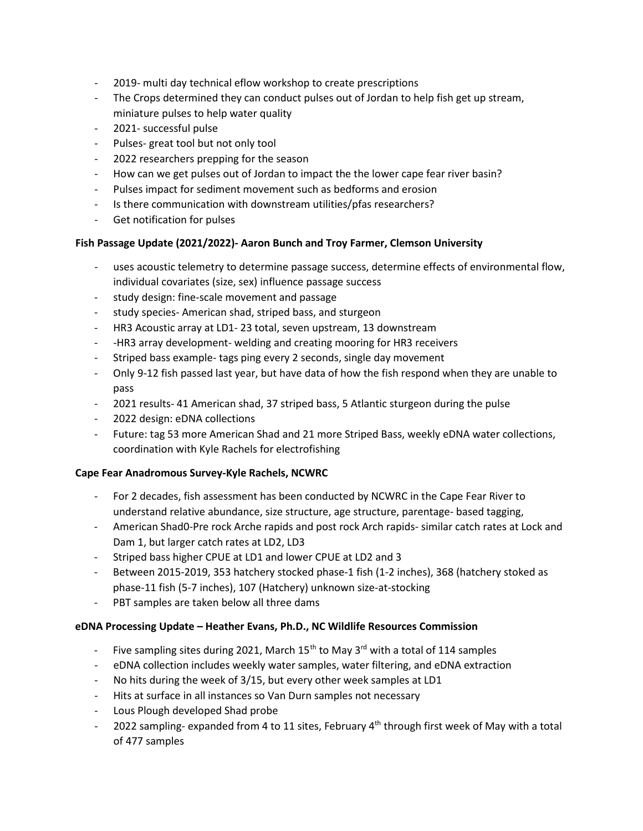- 2019- multi day technical eflow workshop to create prescriptions
- The Crops determined they can conduct pulses out of Jordan to help fish get up stream, miniature pulses to help water quality
- 2021- successful pulse
- Pulses- great tool but not only tool
- 2022 researchers prepping for the season
- How can we get pulses out of Jordan to impact the the lower cape fear river basin?
- Pulses impact for sediment movement such as bedforms and erosion
- Is there communication with downstream utilities/pfas researchers?
- Get notification for pulses

#### **Fish Passage Update (2021/2022)- Aaron Bunch and Troy Farmer, Clemson University**

- uses acoustic telemetry to determine passage success, determine effects of environmental flow, individual covariates (size, sex) influence passage success
- study design: fine-scale movement and passage
- study species- American shad, striped bass, and sturgeon
- HR3 Acoustic array at LD1- 23 total, seven upstream, 13 downstream
- -HR3 array development- welding and creating mooring for HR3 receivers
- Striped bass example- tags ping every 2 seconds, single day movement
- Only 9-12 fish passed last year, but have data of how the fish respond when they are unable to pass
- 2021 results- 41 American shad, 37 striped bass, 5 Atlantic sturgeon during the pulse
- 2022 design: eDNA collections
- Future: tag 53 more American Shad and 21 more Striped Bass, weekly eDNA water collections, coordination with Kyle Rachels for electrofishing

#### **Cape Fear Anadromous Survey-Kyle Rachels, NCWRC**

- For 2 decades, fish assessment has been conducted by NCWRC in the Cape Fear River to understand relative abundance, size structure, age structure, parentage- based tagging,
- American Shad0-Pre rock Arche rapids and post rock Arch rapids- similar catch rates at Lock and Dam 1, but larger catch rates at LD2, LD3
- Striped bass higher CPUE at LD1 and lower CPUE at LD2 and 3
- Between 2015-2019, 353 hatchery stocked phase-1 fish (1-2 inches), 368 (hatchery stoked as phase-11 fish (5-7 inches), 107 (Hatchery) unknown size-at-stocking
- PBT samples are taken below all three dams

#### **eDNA Processing Update – Heather Evans, Ph.D., NC Wildlife Resources Commission**

- Five sampling sites during 2021, March  $15^{th}$  to May  $3^{rd}$  with a total of 114 samples
- eDNA collection includes weekly water samples, water filtering, and eDNA extraction
- No hits during the week of 3/15, but every other week samples at LD1
- Hits at surface in all instances so Van Durn samples not necessary
- Lous Plough developed Shad probe
- 2022 sampling- expanded from 4 to 11 sites, February  $4<sup>th</sup>$  through first week of May with a total of 477 samples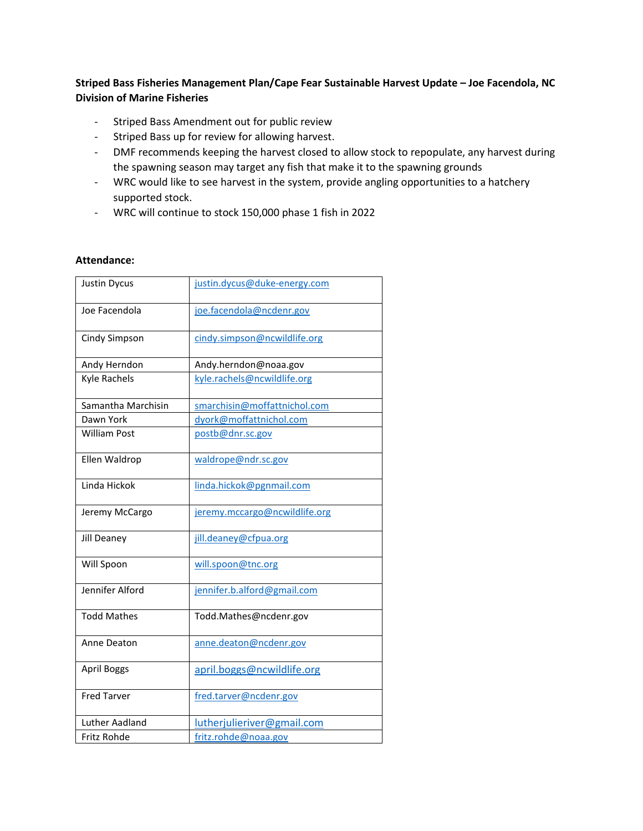## **Striped Bass Fisheries Management Plan/Cape Fear Sustainable Harvest Update – Joe Facendola, NC Division of Marine Fisheries**

- Striped Bass Amendment out for public review
- Striped Bass up for review for allowing harvest.
- DMF recommends keeping the harvest closed to allow stock to repopulate, any harvest during the spawning season may target any fish that make it to the spawning grounds
- WRC would like to see harvest in the system, provide angling opportunities to a hatchery supported stock.
- WRC will continue to stock 150,000 phase 1 fish in 2022

## **Attendance:**

| <b>Justin Dycus</b> | justin.dycus@duke-energy.com  |
|---------------------|-------------------------------|
| Joe Facendola       | joe.facendola@ncdenr.gov      |
| Cindy Simpson       | cindy.simpson@ncwildlife.org  |
| Andy Herndon        | Andy.herndon@noaa.gov         |
| Kyle Rachels        | kyle.rachels@ncwildlife.org   |
| Samantha Marchisin  | smarchisin@moffattnichol.com  |
| Dawn York           | dyork@moffattnichol.com       |
| <b>William Post</b> | postb@dnr.sc.gov              |
| Ellen Waldrop       | waldrope@ndr.sc.gov           |
| Linda Hickok        | linda.hickok@pgnmail.com      |
| Jeremy McCargo      | jeremy.mccargo@ncwildlife.org |
| Jill Deaney         | jill.deaney@cfpua.org         |
| Will Spoon          | will.spoon@tnc.org            |
| Jennifer Alford     | jennifer.b.alford@gmail.com   |
| <b>Todd Mathes</b>  | Todd.Mathes@ncdenr.gov        |
| Anne Deaton         | anne.deaton@ncdenr.gov        |
| <b>April Boggs</b>  | april.boggs@ncwildlife.org    |
| <b>Fred Tarver</b>  | fred.tarver@ncdenr.gov        |
| Luther Aadland      | lutherjulieriver@gmail.com    |
| Fritz Rohde         | fritz.rohde@noaa.gov          |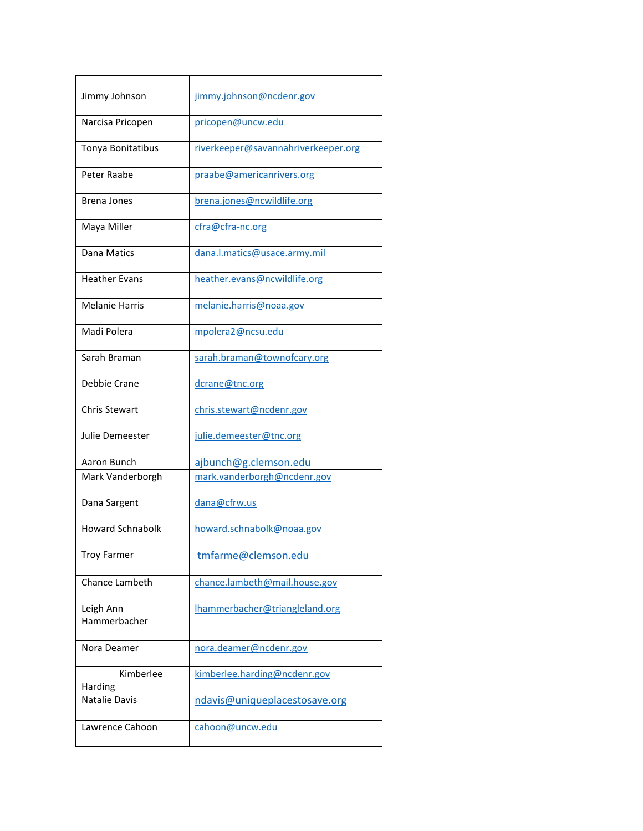| Jimmy Johnson             | jimmy.johnson@ncdenr.gov            |
|---------------------------|-------------------------------------|
| Narcisa Pricopen          | pricopen@uncw.edu                   |
| Tonya Bonitatibus         | riverkeeper@savannahriverkeeper.org |
| Peter Raabe               | praabe@americanrivers.org           |
| Brena Jones               | brena.jones@ncwildlife.org          |
| Maya Miller               | cfra@cfra-nc.org                    |
| Dana Matics               | dana.l.matics@usace.army.mil        |
| <b>Heather Evans</b>      | heather.evans@ncwildlife.org        |
| Melanie Harris            | melanie.harris@noaa.gov             |
| Madi Polera               | mpolera2@ncsu.edu                   |
| Sarah Braman              | sarah.braman@townofcary.org         |
| Debbie Crane              | dcrane@tnc.org                      |
| Chris Stewart             | chris.stewart@ncdenr.gov            |
| Julie Demeester           | julie.demeester@tnc.org             |
| Aaron Bunch               | ajbunch@g.clemson.edu               |
| Mark Vanderborgh          | mark.vanderborgh@ncdenr.gov         |
| Dana Sargent              | dana@cfrw.us                        |
| <b>Howard Schnabolk</b>   | howard.schnabolk@noaa.gov           |
| <b>Troy Farmer</b>        | tmfarme@clemson.edu                 |
| <b>Chance Lambeth</b>     | chance.lambeth@mail.house.gov       |
| Leigh Ann<br>Hammerbacher | Ihammerbacher@triangleland.org      |
| Nora Deamer               | nora.deamer@ncdenr.gov              |
| Kimberlee<br>Harding      | kimberlee.harding@ncdenr.gov        |
| <b>Natalie Davis</b>      | ndavis@uniqueplacestosave.org       |
| Lawrence Cahoon           | cahoon@uncw.edu                     |